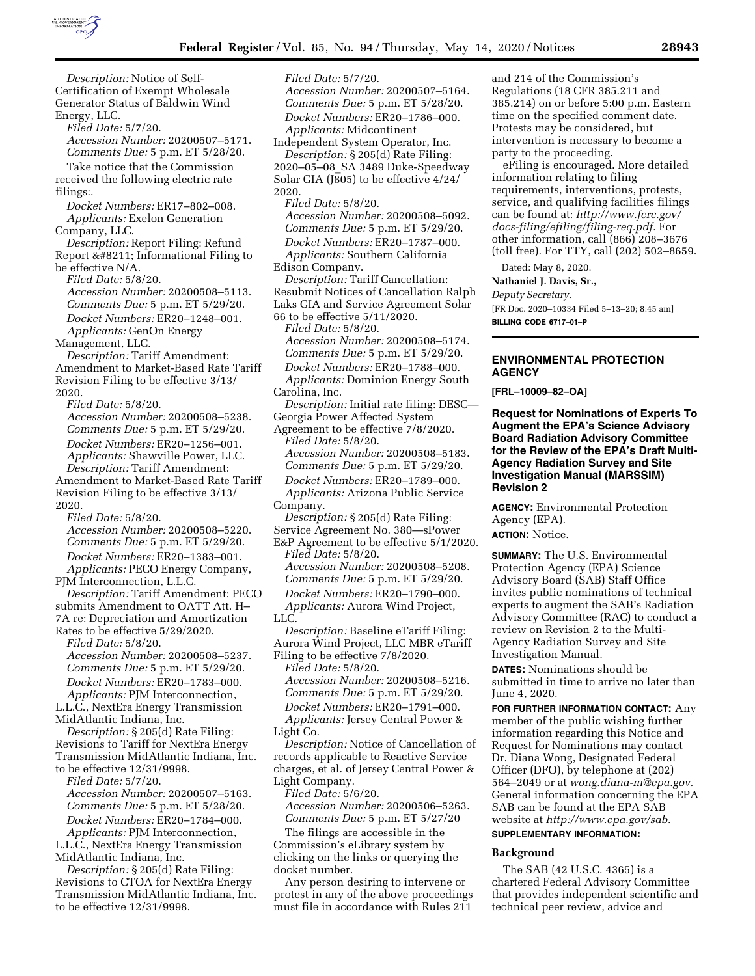

*Description:* Notice of Self-Certification of Exempt Wholesale Generator Status of Baldwin Wind Energy, LLC.

*Filed Date:* 5/7/20.

*Accession Number:* 20200507–5171. *Comments Due:* 5 p.m. ET 5/28/20.

Take notice that the Commission received the following electric rate filings:.

*Docket Numbers:* ER17–802–008. *Applicants:* Exelon Generation Company, LLC.

*Description:* Report Filing: Refund Report – Informational Filing to be effective N/A.

*Filed Date:* 5/8/20.

*Accession Number:* 20200508–5113. *Comments Due:* 5 p.m. ET 5/29/20.

*Docket Numbers:* ER20–1248–001. *Applicants:* GenOn Energy

Management, LLC.

*Description:* Tariff Amendment: Amendment to Market-Based Rate Tariff Revision Filing to be effective 3/13/ 2020.

*Filed Date:* 5/8/20.

*Accession Number:* 20200508–5238. *Comments Due:* 5 p.m. ET 5/29/20. *Docket Numbers:* ER20–1256–001. *Applicants:* Shawville Power, LLC. *Description:* Tariff Amendment:

Amendment to Market-Based Rate Tariff Revision Filing to be effective 3/13/ 2020.

*Filed Date:* 5/8/20. *Accession Number:* 20200508–5220. *Comments Due:* 5 p.m. ET 5/29/20. *Docket Numbers:* ER20–1383–001.

*Applicants:* PECO Energy Company, PJM Interconnection, L.L.C.

*Description:* Tariff Amendment: PECO submits Amendment to OATT Att. H– 7A re: Depreciation and Amortization

Rates to be effective 5/29/2020.

*Filed Date:* 5/8/20.

*Accession Number:* 20200508–5237. *Comments Due:* 5 p.m. ET 5/29/20. *Docket Numbers:* ER20–1783–000.

*Applicants:* PJM Interconnection, L.L.C., NextEra Energy Transmission MidAtlantic Indiana, Inc.

*Description:* § 205(d) Rate Filing: Revisions to Tariff for NextEra Energy Transmission MidAtlantic Indiana, Inc. to be effective 12/31/9998.

*Filed Date:* 5/7/20.

*Accession Number:* 20200507–5163. *Comments Due:* 5 p.m. ET 5/28/20. *Docket Numbers:* ER20–1784–000.

*Applicants:* PJM Interconnection, L.L.C., NextEra Energy Transmission

MidAtlantic Indiana, Inc. *Description:* § 205(d) Rate Filing:

Revisions to CTOA for NextEra Energy Transmission MidAtlantic Indiana, Inc. to be effective 12/31/9998.

*Filed Date:* 5/7/20. *Accession Number:* 20200507–5164. *Comments Due:* 5 p.m. ET 5/28/20. *Docket Numbers:* ER20–1786–000. *Applicants:* Midcontinent

Independent System Operator, Inc. *Description:* § 205(d) Rate Filing: 2020–05–08\_SA 3489 Duke-Speedway Solar GIA (J805) to be effective 4/24/ 2020.

*Filed Date:* 5/8/20. *Accession Number:* 20200508–5092. *Comments Due:* 5 p.m. ET 5/29/20. *Docket Numbers:* ER20–1787–000. *Applicants:* Southern California

Edison Company.

*Description:* Tariff Cancellation: Resubmit Notices of Cancellation Ralph Laks GIA and Service Agreement Solar 66 to be effective 5/11/2020.

*Filed Date:* 5/8/20.

*Accession Number:* 20200508–5174.

*Comments Due:* 5 p.m. ET 5/29/20. *Docket Numbers:* ER20–1788–000.

*Applicants:* Dominion Energy South Carolina, Inc.

*Description:* Initial rate filing: DESC— Georgia Power Affected System

Agreement to be effective 7/8/2020. *Filed Date:* 5/8/20.

*Accession Number:* 20200508–5183.

*Comments Due:* 5 p.m. ET 5/29/20.

*Docket Numbers:* ER20–1789–000. *Applicants:* Arizona Public Service Company.

*Description:* § 205(d) Rate Filing: Service Agreement No. 380—sPower

E&P Agreement to be effective 5/1/2020. *Filed Date:* 5/8/20. *Accession Number:* 20200508–5208. *Comments Due:* 5 p.m. ET 5/29/20. *Docket Numbers:* ER20–1790–000. *Applicants:* Aurora Wind Project,

LLC.

*Description:* Baseline eTariff Filing: Aurora Wind Project, LLC MBR eTariff Filing to be effective 7/8/2020.

*Filed Date:* 5/8/20.

*Accession Number:* 20200508–5216. *Comments Due:* 5 p.m. ET 5/29/20.

*Docket Numbers:* ER20–1791–000.

*Applicants:* Jersey Central Power & Light Co.

*Description:* Notice of Cancellation of records applicable to Reactive Service charges, et al. of Jersey Central Power & Light Company.

*Filed Date:* 5/6/20. *Accession Number:* 20200506–5263. *Comments Due:* 5 p.m. ET 5/27/20

The filings are accessible in the Commission's eLibrary system by clicking on the links or querying the

docket number. Any person desiring to intervene or protest in any of the above proceedings must file in accordance with Rules 211

and 214 of the Commission's Regulations (18 CFR 385.211 and 385.214) on or before 5:00 p.m. Eastern time on the specified comment date. Protests may be considered, but intervention is necessary to become a party to the proceeding.

eFiling is encouraged. More detailed information relating to filing requirements, interventions, protests, service, and qualifying facilities filings can be found at: *[http://www.ferc.gov/](http://www.ferc.gov/docs-filing/efiling/filing-req.pdf)  [docs-filing/efiling/filing-req.pdf.](http://www.ferc.gov/docs-filing/efiling/filing-req.pdf)* For other information, call (866) 208–3676 (toll free). For TTY, call (202) 502–8659.

Dated: May 8, 2020.

**Nathaniel J. Davis, Sr.,** 

*Deputy Secretary.*  [FR Doc. 2020–10334 Filed 5–13–20; 8:45 am] **BILLING CODE 6717–01–P** 

**ENVIRONMENTAL PROTECTION AGENCY** 

**[FRL–10009–82–OA]** 

**Request for Nominations of Experts To Augment the EPA's Science Advisory Board Radiation Advisory Committee for the Review of the EPA's Draft Multi-Agency Radiation Survey and Site Investigation Manual (MARSSIM) Revision 2** 

**AGENCY:** Environmental Protection Agency (EPA). **ACTION:** Notice.

**SUMMARY:** The U.S. Environmental Protection Agency (EPA) Science Advisory Board (SAB) Staff Office invites public nominations of technical experts to augment the SAB's Radiation Advisory Committee (RAC) to conduct a review on Revision 2 to the Multi-Agency Radiation Survey and Site Investigation Manual.

**DATES:** Nominations should be submitted in time to arrive no later than June 4, 2020.

**FOR FURTHER INFORMATION CONTACT:** Any member of the public wishing further information regarding this Notice and Request for Nominations may contact Dr. Diana Wong, Designated Federal Officer (DFO), by telephone at (202) 564–2049 or at *[wong.diana-m@epa.gov.](mailto:wong.diana-m@epa.gov)*  General information concerning the EPA SAB can be found at the EPA SAB website at *[http://www.epa.gov/sab.](http://www.epa.gov/sab)* 

# **SUPPLEMENTARY INFORMATION:**

# **Background**

The SAB (42 U.S.C. 4365) is a chartered Federal Advisory Committee that provides independent scientific and technical peer review, advice and